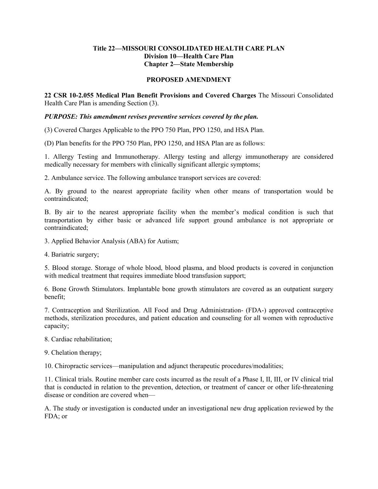## **Title 22—MISSOURI CONSOLIDATED HEALTH CARE PLAN Division 10—Health Care Plan Chapter 2—State Membership**

## **PROPOSED AMENDMENT**

**22 CSR 10-2.055 Medical Plan Benefit Provisions and Covered Charges** The Missouri Consolidated Health Care Plan is amending Section (3).

## *PURPOSE: This amendment revises preventive services covered by the plan.*

(3) Covered Charges Applicable to the PPO 750 Plan, PPO 1250, and HSA Plan.

(D) Plan benefits for the PPO 750 Plan, PPO 1250, and HSA Plan are as follows:

1. Allergy Testing and Immunotherapy. Allergy testing and allergy immunotherapy are considered medically necessary for members with clinically significant allergic symptoms;

2. Ambulance service. The following ambulance transport services are covered:

A. By ground to the nearest appropriate facility when other means of transportation would be contraindicated;

B. By air to the nearest appropriate facility when the member's medical condition is such that transportation by either basic or advanced life support ground ambulance is not appropriate or contraindicated;

- 3. Applied Behavior Analysis (ABA) for Autism;
- 4. Bariatric surgery;

5. Blood storage. Storage of whole blood, blood plasma, and blood products is covered in conjunction with medical treatment that requires immediate blood transfusion support;

6. Bone Growth Stimulators. Implantable bone growth stimulators are covered as an outpatient surgery benefit;

7. Contraception and Sterilization. All Food and Drug Administration- (FDA-) approved contraceptive methods, sterilization procedures, and patient education and counseling for all women with reproductive capacity;

- 8. Cardiac rehabilitation;
- 9. Chelation therapy;

10. Chiropractic services—manipulation and adjunct therapeutic procedures/modalities;

11. Clinical trials. Routine member care costs incurred as the result of a Phase I, II, III, or IV clinical trial that is conducted in relation to the prevention, detection, or treatment of cancer or other life-threatening disease or condition are covered when—

A. The study or investigation is conducted under an investigational new drug application reviewed by the FDA; or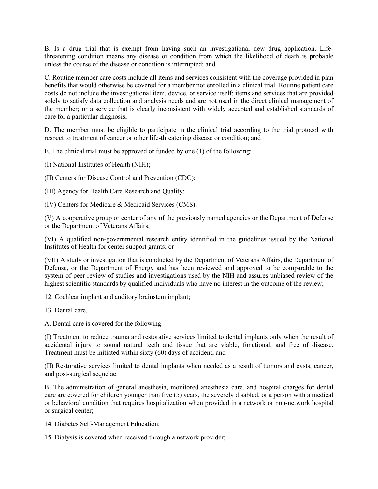B. Is a drug trial that is exempt from having such an investigational new drug application. Lifethreatening condition means any disease or condition from which the likelihood of death is probable unless the course of the disease or condition is interrupted; and

C. Routine member care costs include all items and services consistent with the coverage provided in plan benefits that would otherwise be covered for a member not enrolled in a clinical trial. Routine patient care costs do not include the investigational item, device, or service itself; items and services that are provided solely to satisfy data collection and analysis needs and are not used in the direct clinical management of the member; or a service that is clearly inconsistent with widely accepted and established standards of care for a particular diagnosis;

D. The member must be eligible to participate in the clinical trial according to the trial protocol with respect to treatment of cancer or other life-threatening disease or condition; and

E. The clinical trial must be approved or funded by one (1) of the following:

(I) National Institutes of Health (NIH);

(II) Centers for Disease Control and Prevention (CDC);

(III) Agency for Health Care Research and Quality;

(IV) Centers for Medicare & Medicaid Services (CMS);

(V) A cooperative group or center of any of the previously named agencies or the Department of Defense or the Department of Veterans Affairs;

(VI) A qualified non-governmental research entity identified in the guidelines issued by the National Institutes of Health for center support grants; or

(VII) A study or investigation that is conducted by the Department of Veterans Affairs, the Department of Defense, or the Department of Energy and has been reviewed and approved to be comparable to the system of peer review of studies and investigations used by the NIH and assures unbiased review of the highest scientific standards by qualified individuals who have no interest in the outcome of the review;

12. Cochlear implant and auditory brainstem implant;

13. Dental care.

A. Dental care is covered for the following:

(I) Treatment to reduce trauma and restorative services limited to dental implants only when the result of accidental injury to sound natural teeth and tissue that are viable, functional, and free of disease. Treatment must be initiated within sixty (60) days of accident; and

(II) Restorative services limited to dental implants when needed as a result of tumors and cysts, cancer, and post-surgical sequelae.

B. The administration of general anesthesia, monitored anesthesia care, and hospital charges for dental care are covered for children younger than five (5) years, the severely disabled, or a person with a medical or behavioral condition that requires hospitalization when provided in a network or non-network hospital or surgical center;

14. Diabetes Self-Management Education;

15. Dialysis is covered when received through a network provider;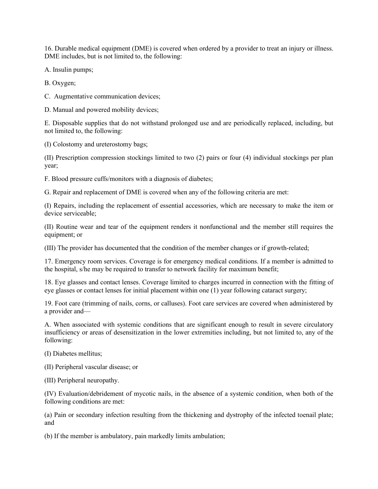16. Durable medical equipment (DME) is covered when ordered by a provider to treat an injury or illness. DME includes, but is not limited to, the following:

A. Insulin pumps;

B. Oxygen;

C. Augmentative communication devices;

D. Manual and powered mobility devices;

E. Disposable supplies that do not withstand prolonged use and are periodically replaced, including, but not limited to, the following:

(I) Colostomy and ureterostomy bags;

(II) Prescription compression stockings limited to two (2) pairs or four (4) individual stockings per plan year;

F. Blood pressure cuffs/monitors with a diagnosis of diabetes;

G. Repair and replacement of DME is covered when any of the following criteria are met:

(I) Repairs, including the replacement of essential accessories, which are necessary to make the item or device serviceable;

(II) Routine wear and tear of the equipment renders it nonfunctional and the member still requires the equipment; or

(III) The provider has documented that the condition of the member changes or if growth-related;

17. Emergency room services. Coverage is for emergency medical conditions. If a member is admitted to the hospital, s/he may be required to transfer to network facility for maximum benefit;

18. Eye glasses and contact lenses. Coverage limited to charges incurred in connection with the fitting of eye glasses or contact lenses for initial placement within one (1) year following cataract surgery;

19. Foot care (trimming of nails, corns, or calluses). Foot care services are covered when administered by a provider and—

A. When associated with systemic conditions that are significant enough to result in severe circulatory insufficiency or areas of desensitization in the lower extremities including, but not limited to, any of the following:

(I) Diabetes mellitus;

(II) Peripheral vascular disease; or

(III) Peripheral neuropathy.

(IV) Evaluation/debridement of mycotic nails, in the absence of a systemic condition, when both of the following conditions are met:

(a) Pain or secondary infection resulting from the thickening and dystrophy of the infected toenail plate; and

(b) If the member is ambulatory, pain markedly limits ambulation;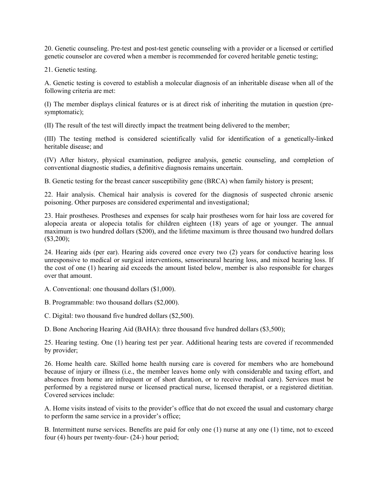20. Genetic counseling. Pre-test and post-test genetic counseling with a provider or a licensed or certified genetic counselor are covered when a member is recommended for covered heritable genetic testing;

21. Genetic testing.

A. Genetic testing is covered to establish a molecular diagnosis of an inheritable disease when all of the following criteria are met:

(I) The member displays clinical features or is at direct risk of inheriting the mutation in question (presymptomatic);

(II) The result of the test will directly impact the treatment being delivered to the member;

(III) The testing method is considered scientifically valid for identification of a genetically-linked heritable disease; and

(IV) After history, physical examination, pedigree analysis, genetic counseling, and completion of conventional diagnostic studies, a definitive diagnosis remains uncertain.

B. Genetic testing for the breast cancer susceptibility gene (BRCA) when family history is present;

22. Hair analysis. Chemical hair analysis is covered for the diagnosis of suspected chronic arsenic poisoning. Other purposes are considered experimental and investigational;

23. Hair prostheses. Prostheses and expenses for scalp hair prostheses worn for hair loss are covered for alopecia areata or alopecia totalis for children eighteen (18) years of age or younger. The annual maximum is two hundred dollars (\$200), and the lifetime maximum is three thousand two hundred dollars (\$3,200);

24. Hearing aids (per ear). Hearing aids covered once every two (2) years for conductive hearing loss unresponsive to medical or surgical interventions, sensorineural hearing loss, and mixed hearing loss. If the cost of one (1) hearing aid exceeds the amount listed below, member is also responsible for charges over that amount.

A. Conventional: one thousand dollars (\$1,000).

B. Programmable: two thousand dollars (\$2,000).

C. Digital: two thousand five hundred dollars (\$2,500).

D. Bone Anchoring Hearing Aid (BAHA): three thousand five hundred dollars (\$3,500);

25. Hearing testing. One (1) hearing test per year. Additional hearing tests are covered if recommended by provider;

26. Home health care. Skilled home health nursing care is covered for members who are homebound because of injury or illness (i.e., the member leaves home only with considerable and taxing effort, and absences from home are infrequent or of short duration, or to receive medical care). Services must be performed by a registered nurse or licensed practical nurse, licensed therapist, or a registered dietitian. Covered services include:

A. Home visits instead of visits to the provider's office that do not exceed the usual and customary charge to perform the same service in a provider's office;

B. Intermittent nurse services. Benefits are paid for only one (1) nurse at any one (1) time, not to exceed four (4) hours per twenty-four- (24-) hour period;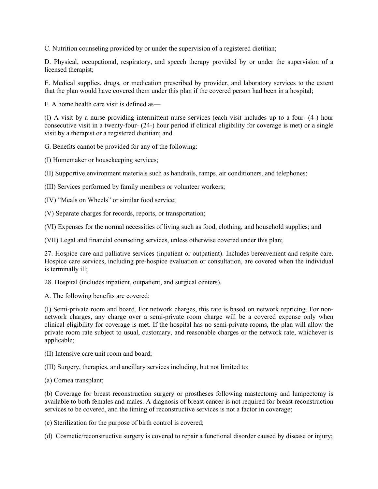C. Nutrition counseling provided by or under the supervision of a registered dietitian;

D. Physical, occupational, respiratory, and speech therapy provided by or under the supervision of a licensed therapist;

E. Medical supplies, drugs, or medication prescribed by provider, and laboratory services to the extent that the plan would have covered them under this plan if the covered person had been in a hospital;

F. A home health care visit is defined as—

(I) A visit by a nurse providing intermittent nurse services (each visit includes up to a four- (4-) hour consecutive visit in a twenty-four- (24-) hour period if clinical eligibility for coverage is met) or a single visit by a therapist or a registered dietitian; and

G. Benefits cannot be provided for any of the following:

(I) Homemaker or housekeeping services;

(II) Supportive environment materials such as handrails, ramps, air conditioners, and telephones;

(III) Services performed by family members or volunteer workers;

(IV) "Meals on Wheels" or similar food service;

(V) Separate charges for records, reports, or transportation;

(VI) Expenses for the normal necessities of living such as food, clothing, and household supplies; and

(VII) Legal and financial counseling services, unless otherwise covered under this plan;

27. Hospice care and palliative services (inpatient or outpatient). Includes bereavement and respite care. Hospice care services, including pre-hospice evaluation or consultation, are covered when the individual is terminally ill;

28. Hospital (includes inpatient, outpatient, and surgical centers).

A. The following benefits are covered:

(I) Semi-private room and board. For network charges, this rate is based on network repricing. For nonnetwork charges, any charge over a semi-private room charge will be a covered expense only when clinical eligibility for coverage is met. If the hospital has no semi-private rooms, the plan will allow the private room rate subject to usual, customary, and reasonable charges or the network rate, whichever is applicable;

(II) Intensive care unit room and board;

(III) Surgery, therapies, and ancillary services including, but not limited to:

(a) Cornea transplant;

(b) Coverage for breast reconstruction surgery or prostheses following mastectomy and lumpectomy is available to both females and males. A diagnosis of breast cancer is not required for breast reconstruction services to be covered, and the timing of reconstructive services is not a factor in coverage;

(c) Sterilization for the purpose of birth control is covered;

(d) Cosmetic/reconstructive surgery is covered to repair a functional disorder caused by disease or injury;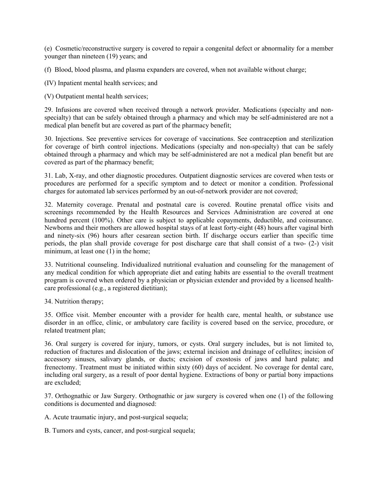(e) Cosmetic/reconstructive surgery is covered to repair a congenital defect or abnormality for a member younger than nineteen (19) years; and

(f) Blood, blood plasma, and plasma expanders are covered, when not available without charge;

(IV) Inpatient mental health services; and

(V) Outpatient mental health services;

29. Infusions are covered when received through a network provider. Medications (specialty and nonspecialty) that can be safely obtained through a pharmacy and which may be self-administered are not a medical plan benefit but are covered as part of the pharmacy benefit;

30. Injections. See preventive services for coverage of vaccinations. See contraception and sterilization for coverage of birth control injections. Medications (specialty and non-specialty) that can be safely obtained through a pharmacy and which may be self-administered are not a medical plan benefit but are covered as part of the pharmacy benefit;

31. Lab, X-ray, and other diagnostic procedures. Outpatient diagnostic services are covered when tests or procedures are performed for a specific symptom and to detect or monitor a condition. Professional charges for automated lab services performed by an out-of-network provider are not covered;

32. Maternity coverage. Prenatal and postnatal care is covered. Routine prenatal office visits and screenings recommended by the Health Resources and Services Administration are covered at one hundred percent (100%). Other care is subject to applicable copayments, deductible, and coinsurance. Newborns and their mothers are allowed hospital stays of at least forty-eight (48) hours after vaginal birth and ninety-six (96) hours after cesarean section birth. If discharge occurs earlier than specific time periods, the plan shall provide coverage for post discharge care that shall consist of a two- (2-) visit minimum, at least one (1) in the home;

33. Nutritional counseling. Individualized nutritional evaluation and counseling for the management of any medical condition for which appropriate diet and eating habits are essential to the overall treatment program is covered when ordered by a physician or physician extender and provided by a licensed healthcare professional (e.g., a registered dietitian);

34. Nutrition therapy;

35. Office visit. Member encounter with a provider for health care, mental health, or substance use disorder in an office, clinic, or ambulatory care facility is covered based on the service, procedure, or related treatment plan;

36. Oral surgery is covered for injury, tumors, or cysts. Oral surgery includes, but is not limited to, reduction of fractures and dislocation of the jaws; external incision and drainage of cellulites; incision of accessory sinuses, salivary glands, or ducts; excision of exostosis of jaws and hard palate; and frenectomy. Treatment must be initiated within sixty (60) days of accident. No coverage for dental care, including oral surgery, as a result of poor dental hygiene. Extractions of bony or partial bony impactions are excluded;

37. Orthognathic or Jaw Surgery. Orthognathic or jaw surgery is covered when one (1) of the following conditions is documented and diagnosed:

A. Acute traumatic injury, and post-surgical sequela;

B. Tumors and cysts, cancer, and post-surgical sequela;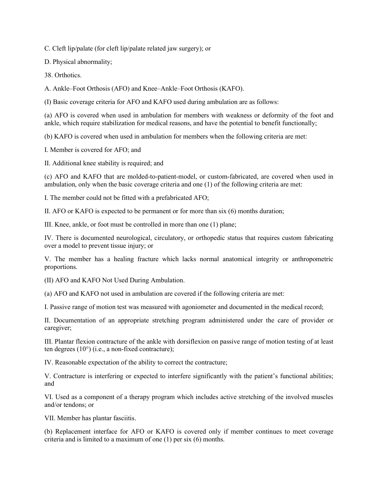C. Cleft lip/palate (for cleft lip/palate related jaw surgery); or

D. Physical abnormality;

38. Orthotics.

A. Ankle–Foot Orthosis (AFO) and Knee–Ankle–Foot Orthosis (KAFO).

(I) Basic coverage criteria for AFO and KAFO used during ambulation are as follows:

(a) AFO is covered when used in ambulation for members with weakness or deformity of the foot and ankle, which require stabilization for medical reasons, and have the potential to benefit functionally;

(b) KAFO is covered when used in ambulation for members when the following criteria are met:

I. Member is covered for AFO; and

II. Additional knee stability is required; and

(c) AFO and KAFO that are molded-to-patient-model, or custom-fabricated, are covered when used in ambulation, only when the basic coverage criteria and one (1) of the following criteria are met:

I. The member could not be fitted with a prefabricated AFO;

II. AFO or KAFO is expected to be permanent or for more than six (6) months duration;

III. Knee, ankle, or foot must be controlled in more than one (1) plane;

IV. There is documented neurological, circulatory, or orthopedic status that requires custom fabricating over a model to prevent tissue injury; or

V. The member has a healing fracture which lacks normal anatomical integrity or anthropometric proportions.

(II) AFO and KAFO Not Used During Ambulation.

(a) AFO and KAFO not used in ambulation are covered if the following criteria are met:

I. Passive range of motion test was measured with agoniometer and documented in the medical record;

II. Documentation of an appropriate stretching program administered under the care of provider or caregiver;

III. Plantar flexion contracture of the ankle with dorsiflexion on passive range of motion testing of at least ten degrees (10°) (i.e., a non-fixed contracture);

IV. Reasonable expectation of the ability to correct the contracture;

V. Contracture is interfering or expected to interfere significantly with the patient's functional abilities; and

VI. Used as a component of a therapy program which includes active stretching of the involved muscles and/or tendons; or

VII. Member has plantar fasciitis.

(b) Replacement interface for AFO or KAFO is covered only if member continues to meet coverage criteria and is limited to a maximum of one (1) per six (6) months.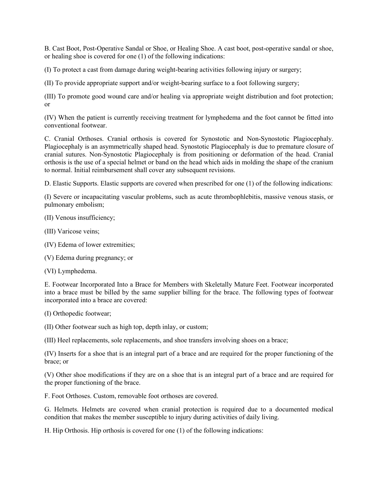B. Cast Boot, Post-Operative Sandal or Shoe, or Healing Shoe. A cast boot, post-operative sandal or shoe, or healing shoe is covered for one (1) of the following indications:

(I) To protect a cast from damage during weight-bearing activities following injury or surgery;

(II) To provide appropriate support and/or weight-bearing surface to a foot following surgery;

(III) To promote good wound care and/or healing via appropriate weight distribution and foot protection; or

(IV) When the patient is currently receiving treatment for lymphedema and the foot cannot be fitted into conventional footwear.

C. Cranial Orthoses. Cranial orthosis is covered for Synostotic and Non-Synostotic Plagiocephaly. Plagiocephaly is an asymmetrically shaped head. Synostotic Plagiocephaly is due to premature closure of cranial sutures. Non-Synostotic Plagiocephaly is from positioning or deformation of the head. Cranial orthosis is the use of a special helmet or band on the head which aids in molding the shape of the cranium to normal. Initial reimbursement shall cover any subsequent revisions.

D. Elastic Supports. Elastic supports are covered when prescribed for one (1) of the following indications:

(I) Severe or incapacitating vascular problems, such as acute thrombophlebitis, massive venous stasis, or pulmonary embolism;

- (II) Venous insufficiency;
- (III) Varicose veins;
- (IV) Edema of lower extremities;

(V) Edema during pregnancy; or

(VI) Lymphedema.

E. Footwear Incorporated Into a Brace for Members with Skeletally Mature Feet. Footwear incorporated into a brace must be billed by the same supplier billing for the brace. The following types of footwear incorporated into a brace are covered:

(I) Orthopedic footwear;

(II) Other footwear such as high top, depth inlay, or custom;

(III) Heel replacements, sole replacements, and shoe transfers involving shoes on a brace;

(IV) Inserts for a shoe that is an integral part of a brace and are required for the proper functioning of the brace; or

(V) Other shoe modifications if they are on a shoe that is an integral part of a brace and are required for the proper functioning of the brace.

F. Foot Orthoses. Custom, removable foot orthoses are covered.

G. Helmets. Helmets are covered when cranial protection is required due to a documented medical condition that makes the member susceptible to injury during activities of daily living.

H. Hip Orthosis. Hip orthosis is covered for one (1) of the following indications: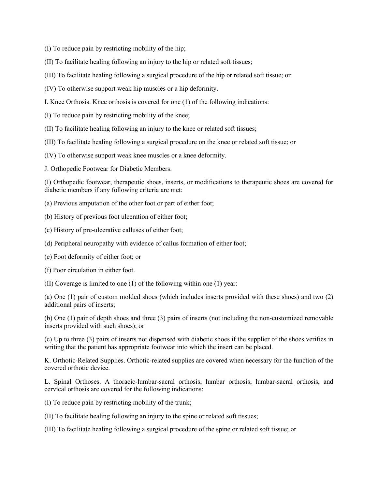- (I) To reduce pain by restricting mobility of the hip;
- (II) To facilitate healing following an injury to the hip or related soft tissues;
- (III) To facilitate healing following a surgical procedure of the hip or related soft tissue; or
- (IV) To otherwise support weak hip muscles or a hip deformity.
- I. Knee Orthosis. Knee orthosis is covered for one (1) of the following indications:
- (I) To reduce pain by restricting mobility of the knee;
- (II) To facilitate healing following an injury to the knee or related soft tissues;
- (III) To facilitate healing following a surgical procedure on the knee or related soft tissue; or
- (IV) To otherwise support weak knee muscles or a knee deformity.
- J. Orthopedic Footwear for Diabetic Members.

(I) Orthopedic footwear, therapeutic shoes, inserts, or modifications to therapeutic shoes are covered for diabetic members if any following criteria are met:

- (a) Previous amputation of the other foot or part of either foot;
- (b) History of previous foot ulceration of either foot;
- (c) History of pre-ulcerative calluses of either foot;
- (d) Peripheral neuropathy with evidence of callus formation of either foot;
- (e) Foot deformity of either foot; or
- (f) Poor circulation in either foot.
- (II) Coverage is limited to one (1) of the following within one (1) year:

(a) One (1) pair of custom molded shoes (which includes inserts provided with these shoes) and two (2) additional pairs of inserts;

(b) One (1) pair of depth shoes and three (3) pairs of inserts (not including the non-customized removable inserts provided with such shoes); or

(c) Up to three (3) pairs of inserts not dispensed with diabetic shoes if the supplier of the shoes verifies in writing that the patient has appropriate footwear into which the insert can be placed.

K. Orthotic-Related Supplies. Orthotic-related supplies are covered when necessary for the function of the covered orthotic device.

L. Spinal Orthoses. A thoracic-lumbar-sacral orthosis, lumbar orthosis, lumbar-sacral orthosis, and cervical orthosis are covered for the following indications:

- (I) To reduce pain by restricting mobility of the trunk;
- (II) To facilitate healing following an injury to the spine or related soft tissues;
- (III) To facilitate healing following a surgical procedure of the spine or related soft tissue; or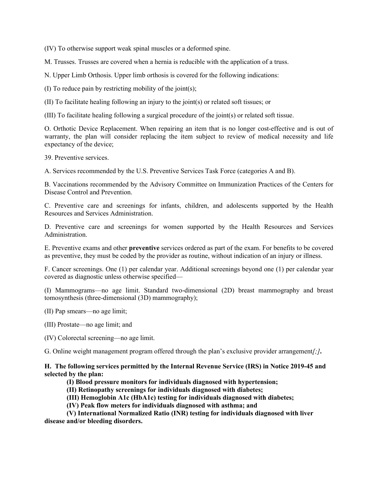(IV) To otherwise support weak spinal muscles or a deformed spine.

M. Trusses. Trusses are covered when a hernia is reducible with the application of a truss.

N. Upper Limb Orthosis. Upper limb orthosis is covered for the following indications:

(I) To reduce pain by restricting mobility of the joint(s);

(II) To facilitate healing following an injury to the joint(s) or related soft tissues; or

(III) To facilitate healing following a surgical procedure of the joint(s) or related soft tissue.

O. Orthotic Device Replacement. When repairing an item that is no longer cost-effective and is out of warranty, the plan will consider replacing the item subject to review of medical necessity and life expectancy of the device;

39. Preventive services.

A. Services recommended by the U.S. Preventive Services Task Force (categories A and B).

B. Vaccinations recommended by the Advisory Committee on Immunization Practices of the Centers for Disease Control and Prevention.

C. Preventive care and screenings for infants, children, and adolescents supported by the Health Resources and Services Administration.

D. Preventive care and screenings for women supported by the Health Resources and Services Administration.

E. Preventive exams and other **preventive** services ordered as part of the exam. For benefits to be covered as preventive, they must be coded by the provider as routine, without indication of an injury or illness.

F. Cancer screenings. One (1) per calendar year. Additional screenings beyond one (1) per calendar year covered as diagnostic unless otherwise specified—

(I) Mammograms—no age limit. Standard two-dimensional (2D) breast mammography and breast tomosynthesis (three-dimensional (3D) mammography);

(II) Pap smears—no age limit;

- (III) Prostate—no age limit; and
- (IV) Colorectal screening—no age limit.

G. Online weight management program offered through the plan's exclusive provider arrangement*[;]***.**

**H. The following services permitted by the Internal Revenue Service (IRS) in [Notice 2019-45](https://www.irs.gov/pub/irs-drop/n-19-45.pdf) and selected by the plan:**

- **(I) Blood pressure monitors for individuals diagnosed with hypertension;**
- **(II) Retinopathy screenings for individuals diagnosed with diabetes;**

**(III) Hemoglobin A1c (HbA1c) testing for individuals diagnosed with diabetes;**

**(IV) Peak flow meters for individuals diagnosed with asthma; and**

**(V) International Normalized Ratio (INR) testing for individuals diagnosed with liver disease and/or bleeding disorders.**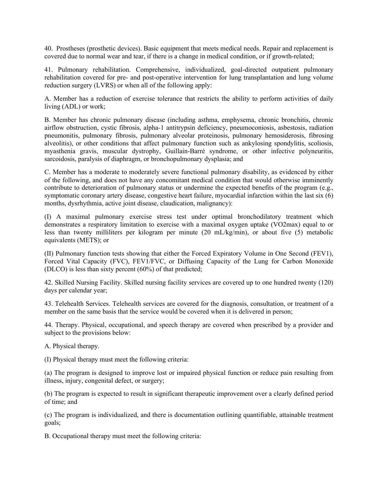40. Prostheses (prosthetic devices). Basic equipment that meets medical needs. Repair and replacement is covered due to normal wear and tear, if there is a change in medical condition, or if growth-related;

41. Pulmonary rehabilitation. Comprehensive, individualized, goal-directed outpatient pulmonary rehabilitation covered for pre- and post-operative intervention for lung transplantation and lung volume reduction surgery (LVRS) or when all of the following apply:

A. Member has a reduction of exercise tolerance that restricts the ability to perform activities of daily living (ADL) or work;

B. Member has chronic pulmonary disease (including asthma, emphysema, chronic bronchitis, chronic airflow obstruction, cystic fibrosis, alpha-1 antitrypsin deficiency, pneumoconiosis, asbestosis, radiation pneumonitis, pulmonary fibrosis, pulmonary alveolar proteinosis, pulmonary hemosiderosis, fibrosing alveolitis), or other conditions that affect pulmonary function such as ankylosing spondylitis, scoliosis, myasthenia gravis, muscular dystrophy, Guillain-Barré syndrome, or other infective polyneuritis, sarcoidosis, paralysis of diaphragm, or bronchopulmonary dysplasia; and

C. Member has a moderate to moderately severe functional pulmonary disability, as evidenced by either of the following, and does not have any concomitant medical condition that would otherwise imminently contribute to deterioration of pulmonary status or undermine the expected benefits of the program (e.g., symptomatic coronary artery disease, congestive heart failure, myocardial infarction within the last six (6) months, dysrhythmia, active joint disease, claudication, malignancy):

(I) A maximal pulmonary exercise stress test under optimal bronchodilatory treatment which demonstrates a respiratory limitation to exercise with a maximal oxygen uptake (VO2max) equal to or less than twenty milliliters per kilogram per minute (20 mL/kg/min), or about five (5) metabolic equivalents (METS); or

(II) Pulmonary function tests showing that either the Forced Expiratory Volume in One Second (FEV1), Forced Vital Capacity (FVC), FEV1/FVC, or Diffusing Capacity of the Lung for Carbon Monoxide (DLCO) is less than sixty percent (60%) of that predicted;

42. Skilled Nursing Facility. Skilled nursing facility services are covered up to one hundred twenty (120) days per calendar year;

43. Telehealth Services. Telehealth services are covered for the diagnosis, consultation, or treatment of a member on the same basis that the service would be covered when it is delivered in person;

44. Therapy. Physical, occupational, and speech therapy are covered when prescribed by a provider and subject to the provisions below:

A. Physical therapy.

(I) Physical therapy must meet the following criteria:

(a) The program is designed to improve lost or impaired physical function or reduce pain resulting from illness, injury, congenital defect, or surgery;

(b) The program is expected to result in significant therapeutic improvement over a clearly defined period of time; and

(c) The program is individualized, and there is documentation outlining quantifiable, attainable treatment goals;

B. Occupational therapy must meet the following criteria: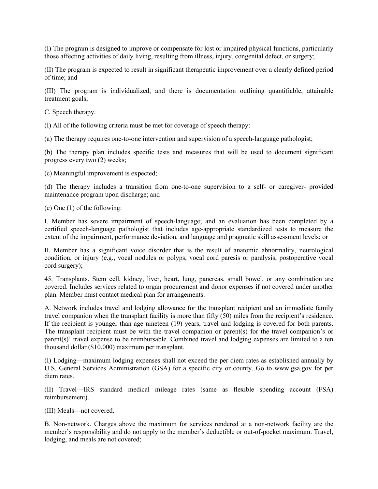(I) The program is designed to improve or compensate for lost or impaired physical functions, particularly those affecting activities of daily living, resulting from illness, injury, congenital defect, or surgery;

(II) The program is expected to result in significant therapeutic improvement over a clearly defined period of time; and

(III) The program is individualized, and there is documentation outlining quantifiable, attainable treatment goals;

C. Speech therapy.

(I) All of the following criteria must be met for coverage of speech therapy:

(a) The therapy requires one-to-one intervention and supervision of a speech-language pathologist;

(b) The therapy plan includes specific tests and measures that will be used to document significant progress every two (2) weeks;

(c) Meaningful improvement is expected;

(d) The therapy includes a transition from one-to-one supervision to a self- or caregiver- provided maintenance program upon discharge; and

(e) One (1) of the following:

I. Member has severe impairment of speech-language; and an evaluation has been completed by a certified speech-language pathologist that includes age-appropriate standardized tests to measure the extent of the impairment, performance deviation, and language and pragmatic skill assessment levels; or

II. Member has a significant voice disorder that is the result of anatomic abnormality, neurological condition, or injury (e.g., vocal nodules or polyps, vocal cord paresis or paralysis, postoperative vocal cord surgery);

45. Transplants. Stem cell, kidney, liver, heart, lung, pancreas, small bowel, or any combination are covered. Includes services related to organ procurement and donor expenses if not covered under another plan. Member must contact medical plan for arrangements.

A. Network includes travel and lodging allowance for the transplant recipient and an immediate family travel companion when the transplant facility is more than fifty  $(50)$  miles from the recipient's residence. If the recipient is younger than age nineteen (19) years, travel and lodging is covered for both parents. The transplant recipient must be with the travel companion or parent(s) for the travel companion's or parent(s)' travel expense to be reimbursable. Combined travel and lodging expenses are limited to a ten thousand dollar (\$10,000) maximum per transplant.

(I) Lodging—maximum lodging expenses shall not exceed the per diem rates as established annually by U.S. General Services Administration (GSA) for a specific city or county. Go to www.gsa.gov for per diem rates.

(II) Travel—IRS standard medical mileage rates (same as flexible spending account (FSA) reimbursement).

(III) Meals—not covered.

B. Non-network. Charges above the maximum for services rendered at a non-network facility are the member's responsibility and do not apply to the member's deductible or out-of-pocket maximum. Travel, lodging, and meals are not covered;